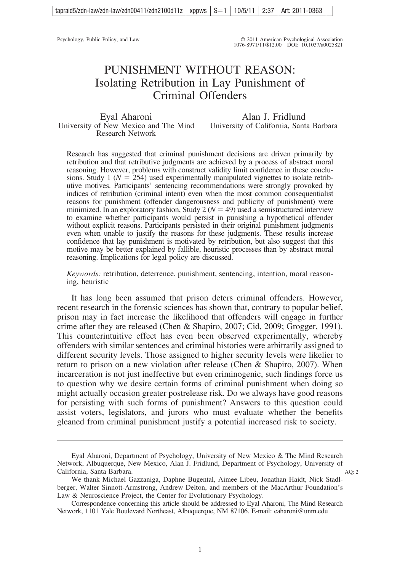Psychology, Public Policy, and Law

© 2011 American Psychological Association 1076-8971/11/\$12.00 DOI: 10.1037/a0025821

# PUNISHMENT WITHOUT REASON: Isolating Retribution in Lay Punishment of Criminal Offenders

Eyal Aharoni University of New Mexico and The Mind Research Network

Alan J. Fridlund University of California, Santa Barbara

 $AO: 2$ 

Research has suggested that criminal punishment decisions are driven primarily by retribution and that retributive judgments are achieved by a process of abstract moral reasoning. However, problems with construct validity limit confidence in these conclusions. Study 1 ( $N = 254$ ) used experimentally manipulated vignettes to isolate retributive motives. Participants' sentencing recommendations were strongly provoked by indices of retribution (criminal intent) even when the most common consequentialist reasons for punishment (offender dangerousness and publicity of punishment) were minimized. In an exploratory fashion, Study 2 ( $N = 49$ ) used a semistructured interview to examine whether participants would persist in punishing a hypothetical offender without explicit reasons. Participants persisted in their original punishment judgments even when unable to justify the reasons for these judgments. These results increase confidence that lay punishment is motivated by retribution, but also suggest that this motive may be better explained by fallible, heuristic processes than by abstract moral reasoning. Implications for legal policy are discussed.

*Keywords:* retribution, deterrence, punishment, sentencing, intention, moral reasoning, heuristic

It has long been assumed that prison deters criminal offenders. However, recent research in the forensic sciences has shown that, contrary to popular belief, prison may in fact increase the likelihood that offenders will engage in further crime after they are released (Chen & Shapiro, 2007; Cid, 2009; Grogger, 1991). This counterintuitive effect has even been observed experimentally, whereby offenders with similar sentences and criminal histories were arbitrarily assigned to different security levels. Those assigned to higher security levels were likelier to return to prison on a new violation after release (Chen & Shapiro, 2007). When incarceration is not just ineffective but even criminogenic, such findings force us to question why we desire certain forms of criminal punishment when doing so might actually occasion greater postrelease risk. Do we always have good reasons for persisting with such forms of punishment? Answers to this question could assist voters, legislators, and jurors who must evaluate whether the benefits gleaned from criminal punishment justify a potential increased risk to society.

Eyal Aharoni, Department of Psychology, University of New Mexico & The Mind Research Network, Albuquerque, New Mexico, Alan J. Fridlund, Department of Psychology, University of California, Santa Barbara.

We thank Michael Gazzaniga, Daphne Bugental, Aimee Libeu, Jonathan Haidt, Nick Stadlberger, Walter Sinnott-Armstrong, Andrew Delton, and members of the MacArthur Foundation's Law & Neuroscience Project, the Center for Evolutionary Psychology.

Correspondence concerning this article should be addressed to Eyal Aharoni, The Mind Research Network, 1101 Yale Boulevard Northeast, Albuquerque, NM 87106. E-mail: eaharoni@unm.edu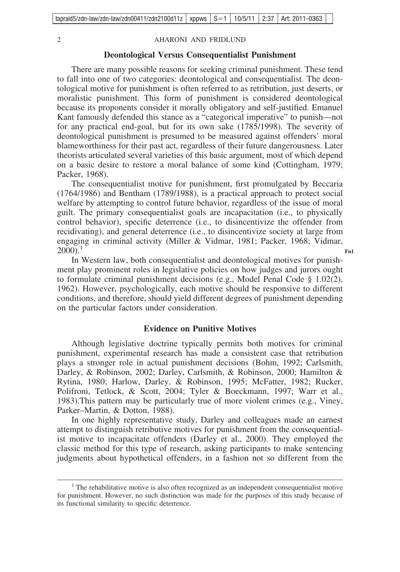#### **Deontological Versus Consequentialist Punishment**

There are many possible reasons for seeking criminal punishment. These tend to fall into one of two categories: deontological and consequentialist. The deontological motive for punishment is often referred to as retribution, just deserts, or moralistic punishment. This form of punishment is considered deontological because its proponents consider it morally obligatory and self-justified. Emanuel Kant famously defended this stance as a "categorical imperative" to punish—not for any practical end-goal, but for its own sake (1785/1998). The severity of deontological punishment is presumed to be measured against offenders' moral blameworthiness for their past act, regardless of their future dangerousness. Later theorists articulated several varieties of this basic argument, most of which depend on a basic desire to restore a moral balance of some kind (Cottingham, 1979; Packer, 1968).

The consequentialist motive for punishment, first promulgated by Beccaria (1764/1986) and Bentham (1789/1988), is a practical approach to protect social welfare by attempting to control future behavior, regardless of the issue of moral guilt. The primary consequentialist goals are incapacitation (i.e., to physically control behavior), specific deterrence (i.e., to disincentivize the offender from recidivating), and general deterrence (i.e., to disincentivize society at large from engaging in criminal activity (Miller & Vidmar, 1981; Packer, 1968; Vidmar,  $2000$ ).<sup>1</sup> **Fn1**

In Western law, both consequentialist and deontological motives for punishment play prominent roles in legislative policies on how judges and jurors ought to formulate criminal punishment decisions (e.g., Model Penal Code § 1.02(2), 1962). However, psychologically, each motive should be responsive to different conditions, and therefore, should yield different degrees of punishment depending on the particular factors under consideration.

# **Evidence on Punitive Motives**

Although legislative doctrine typically permits both motives for criminal punishment, experimental research has made a consistent case that retribution plays a stronger role in actual punishment decisions (Bohm, 1992; Carlsmith, Darley, & Robinson, 2002; Darley, Carlsmith, & Robinson, 2000; Hamilton & Rytina, 1980; Harlow, Darley, & Robinson, 1995; McFatter, 1982; Rucker, Polifroni, Tetlock, & Scott, 2004; Tyler & Boeckmann, 1997; Warr et al., 1983).This pattern may be particularly true of more violent crimes (e.g., Viney, Parker–Martin, & Dotton, 1988).

In one highly representative study, Darley and colleagues made an earnest attempt to distinguish retributive motives for punishment from the consequentialist motive to incapacitate offenders (Darley et al., 2000). They employed the classic method for this type of research, asking participants to make sentencing judgments about hypothetical offenders, in a fashion not so different from the

 $1$ <sup>1</sup> The rehabilitative motive is also often recognized as an independent consequentialist motive for punishment. However, no such distinction was made for the purposes of this study because of its functional similarity to specific deterrence.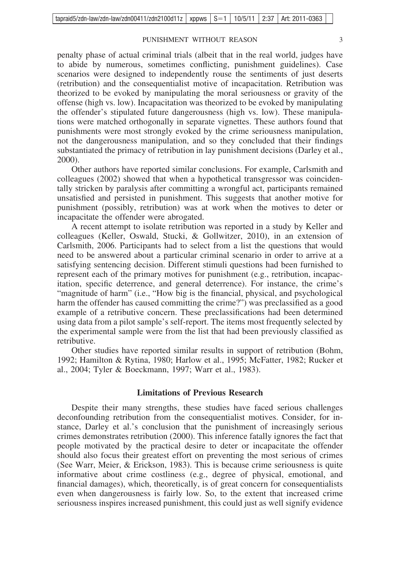penalty phase of actual criminal trials (albeit that in the real world, judges have to abide by numerous, sometimes conflicting, punishment guidelines). Case scenarios were designed to independently rouse the sentiments of just deserts (retribution) and the consequentialist motive of incapacitation. Retribution was theorized to be evoked by manipulating the moral seriousness or gravity of the offense (high vs. low). Incapacitation was theorized to be evoked by manipulating the offender's stipulated future dangerousness (high vs. low). These manipulations were matched orthogonally in separate vignettes. These authors found that punishments were most strongly evoked by the crime seriousness manipulation, not the dangerousness manipulation, and so they concluded that their findings substantiated the primacy of retribution in lay punishment decisions (Darley et al., 2000).

Other authors have reported similar conclusions. For example, Carlsmith and colleagues (2002) showed that when a hypothetical transgressor was coincidentally stricken by paralysis after committing a wrongful act, participants remained unsatisfied and persisted in punishment. This suggests that another motive for punishment (possibly, retribution) was at work when the motives to deter or incapacitate the offender were abrogated.

A recent attempt to isolate retribution was reported in a study by Keller and colleagues (Keller, Oswald, Stucki, & Gollwitzer, 2010), in an extension of Carlsmith, 2006. Participants had to select from a list the questions that would need to be answered about a particular criminal scenario in order to arrive at a satisfying sentencing decision. Different stimuli questions had been furnished to represent each of the primary motives for punishment (e.g., retribution, incapacitation, specific deterrence, and general deterrence). For instance, the crime's "magnitude of harm" (i.e., "How big is the financial, physical, and psychological harm the offender has caused committing the crime?") was preclassified as a good example of a retributive concern. These preclassifications had been determined using data from a pilot sample's self-report. The items most frequently selected by the experimental sample were from the list that had been previously classified as retributive.

Other studies have reported similar results in support of retribution (Bohm, 1992; Hamilton & Rytina, 1980; Harlow et al., 1995; McFatter, 1982; Rucker et al., 2004; Tyler & Boeckmann, 1997; Warr et al., 1983).

#### **Limitations of Previous Research**

Despite their many strengths, these studies have faced serious challenges deconfounding retribution from the consequentialist motives. Consider, for instance, Darley et al.'s conclusion that the punishment of increasingly serious crimes demonstrates retribution (2000). This inference fatally ignores the fact that people motivated by the practical desire to deter or incapacitate the offender should also focus their greatest effort on preventing the most serious of crimes (See Warr, Meier, & Erickson, 1983). This is because crime seriousness is quite informative about crime costliness (e.g., degree of physical, emotional, and financial damages), which, theoretically, is of great concern for consequentialists even when dangerousness is fairly low. So, to the extent that increased crime seriousness inspires increased punishment, this could just as well signify evidence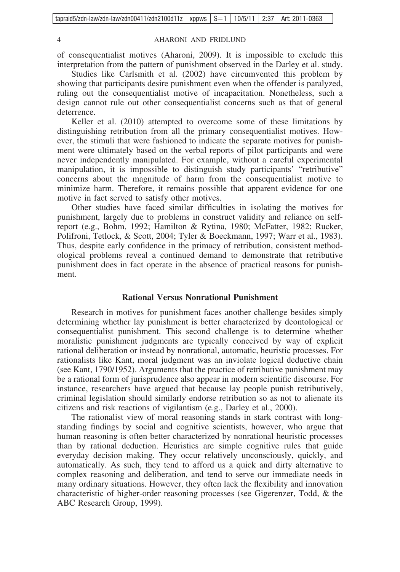of consequentialist motives (Aharoni, 2009). It is impossible to exclude this interpretation from the pattern of punishment observed in the Darley et al. study.

Studies like Carlsmith et al. (2002) have circumvented this problem by showing that participants desire punishment even when the offender is paralyzed, ruling out the consequentialist motive of incapacitation. Nonetheless, such a design cannot rule out other consequentialist concerns such as that of general deterrence.

Keller et al. (2010) attempted to overcome some of these limitations by distinguishing retribution from all the primary consequentialist motives. However, the stimuli that were fashioned to indicate the separate motives for punishment were ultimately based on the verbal reports of pilot participants and were never independently manipulated. For example, without a careful experimental manipulation, it is impossible to distinguish study participants' "retributive" concerns about the magnitude of harm from the consequentialist motive to minimize harm. Therefore, it remains possible that apparent evidence for one motive in fact served to satisfy other motives.

Other studies have faced similar difficulties in isolating the motives for punishment, largely due to problems in construct validity and reliance on selfreport (e.g., Bohm, 1992; Hamilton & Rytina, 1980; McFatter, 1982; Rucker, Polifroni, Tetlock, & Scott, 2004; Tyler & Boeckmann, 1997; Warr et al., 1983). Thus, despite early confidence in the primacy of retribution, consistent methodological problems reveal a continued demand to demonstrate that retributive punishment does in fact operate in the absence of practical reasons for punishment.

#### **Rational Versus Nonrational Punishment**

Research in motives for punishment faces another challenge besides simply determining whether lay punishment is better characterized by deontological or consequentialist punishment. This second challenge is to determine whether moralistic punishment judgments are typically conceived by way of explicit rational deliberation or instead by nonrational, automatic, heuristic processes. For rationalists like Kant, moral judgment was an inviolate logical deductive chain (see Kant, 1790/1952). Arguments that the practice of retributive punishment may be a rational form of jurisprudence also appear in modern scientific discourse. For instance, researchers have argued that because lay people punish retributively, criminal legislation should similarly endorse retribution so as not to alienate its citizens and risk reactions of vigilantism (e.g., Darley et al., 2000).

The rationalist view of moral reasoning stands in stark contrast with longstanding findings by social and cognitive scientists, however, who argue that human reasoning is often better characterized by nonrational heuristic processes than by rational deduction. Heuristics are simple cognitive rules that guide everyday decision making. They occur relatively unconsciously, quickly, and automatically. As such, they tend to afford us a quick and dirty alternative to complex reasoning and deliberation, and tend to serve our immediate needs in many ordinary situations. However, they often lack the flexibility and innovation characteristic of higher-order reasoning processes (see Gigerenzer, Todd, & the ABC Research Group, 1999).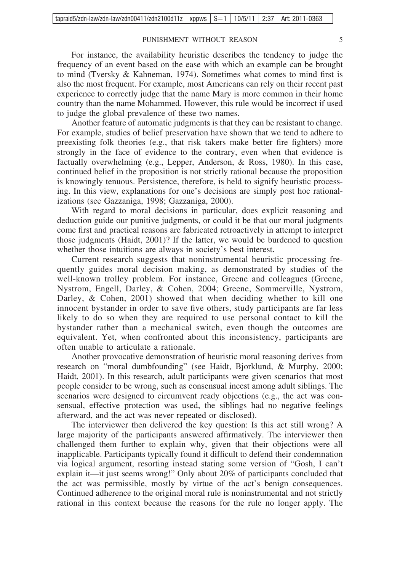For instance, the availability heuristic describes the tendency to judge the frequency of an event based on the ease with which an example can be brought to mind (Tversky & Kahneman, 1974). Sometimes what comes to mind first is also the most frequent. For example, most Americans can rely on their recent past experience to correctly judge that the name Mary is more common in their home country than the name Mohammed. However, this rule would be incorrect if used to judge the global prevalence of these two names.

Another feature of automatic judgments is that they can be resistant to change. For example, studies of belief preservation have shown that we tend to adhere to preexisting folk theories (e.g., that risk takers make better fire fighters) more strongly in the face of evidence to the contrary, even when that evidence is factually overwhelming (e.g., Lepper, Anderson, & Ross, 1980). In this case, continued belief in the proposition is not strictly rational because the proposition is knowingly tenuous. Persistence, therefore, is held to signify heuristic processing. In this view, explanations for one's decisions are simply post hoc rationalizations (see Gazzaniga, 1998; Gazzaniga, 2000).

With regard to moral decisions in particular, does explicit reasoning and deduction guide our punitive judgments, or could it be that our moral judgments come first and practical reasons are fabricated retroactively in attempt to interpret those judgments (Haidt, 2001)? If the latter, we would be burdened to question whether those intuitions are always in society's best interest.

Current research suggests that noninstrumental heuristic processing frequently guides moral decision making, as demonstrated by studies of the well-known trolley problem. For instance, Greene and colleagues (Greene, Nystrom, Engell, Darley, & Cohen, 2004; Greene, Sommerville, Nystrom, Darley, & Cohen, 2001) showed that when deciding whether to kill one innocent bystander in order to save five others, study participants are far less likely to do so when they are required to use personal contact to kill the bystander rather than a mechanical switch, even though the outcomes are equivalent. Yet, when confronted about this inconsistency, participants are often unable to articulate a rationale.

Another provocative demonstration of heuristic moral reasoning derives from research on "moral dumbfounding" (see Haidt, Bjorklund, & Murphy, 2000; Haidt, 2001). In this research, adult participants were given scenarios that most people consider to be wrong, such as consensual incest among adult siblings. The scenarios were designed to circumvent ready objections (e.g., the act was consensual, effective protection was used, the siblings had no negative feelings afterward, and the act was never repeated or disclosed).

The interviewer then delivered the key question: Is this act still wrong? A large majority of the participants answered affirmatively. The interviewer then challenged them further to explain why, given that their objections were all inapplicable. Participants typically found it difficult to defend their condemnation via logical argument, resorting instead stating some version of "Gosh, I can't explain it—it just seems wrong!" Only about 20% of participants concluded that the act was permissible, mostly by virtue of the act's benign consequences. Continued adherence to the original moral rule is noninstrumental and not strictly rational in this context because the reasons for the rule no longer apply. The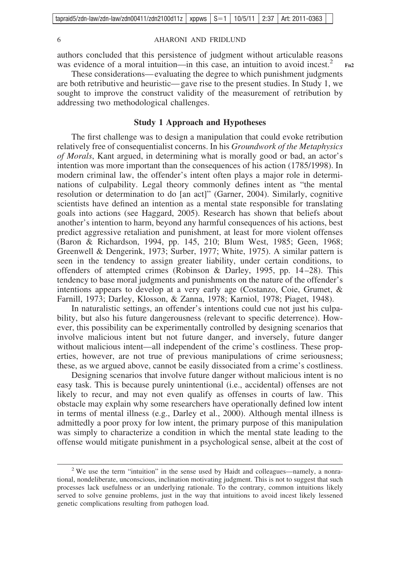authors concluded that this persistence of judgment without articulable reasons was evidence of a moral intuition—in this case, an intuition to avoid incest.<sup>2</sup> **Fn2**

These considerations— evaluating the degree to which punishment judgments are both retributive and heuristic— gave rise to the present studies. In Study 1, we sought to improve the construct validity of the measurement of retribution by addressing two methodological challenges.

# **Study 1 Approach and Hypotheses**

The first challenge was to design a manipulation that could evoke retribution relatively free of consequentialist concerns. In his *Groundwork of the Metaphysics of Morals*, Kant argued, in determining what is morally good or bad, an actor's intention was more important than the consequences of his action (1785/1998). In modern criminal law, the offender's intent often plays a major role in determinations of culpability. Legal theory commonly defines intent as "the mental resolution or determination to do [an act]" (Garner, 2004). Similarly, cognitive scientists have defined an intention as a mental state responsible for translating goals into actions (see Haggard, 2005). Research has shown that beliefs about another's intention to harm, beyond any harmful consequences of his actions, best predict aggressive retaliation and punishment, at least for more violent offenses (Baron & Richardson, 1994, pp. 145, 210; Blum West, 1985; Geen, 1968; Greenwell & Dengerink, 1973; Surber, 1977; White, 1975). A similar pattern is seen in the tendency to assign greater liability, under certain conditions, to offenders of attempted crimes (Robinson & Darley, 1995, pp.  $14-28$ ). This tendency to base moral judgments and punishments on the nature of the offender's intentions appears to develop at a very early age (Costanzo, Coie, Grumet, & Farnill, 1973; Darley, Klosson, & Zanna, 1978; Karniol, 1978; Piaget, 1948).

In naturalistic settings, an offender's intentions could cue not just his culpability, but also his future dangerousness (relevant to specific deterrence). However, this possibility can be experimentally controlled by designing scenarios that involve malicious intent but not future danger, and inversely, future danger without malicious intent—all independent of the crime's costliness. These properties, however, are not true of previous manipulations of crime seriousness; these, as we argued above, cannot be easily dissociated from a crime's costliness.

Designing scenarios that involve future danger without malicious intent is no easy task. This is because purely unintentional (i.e., accidental) offenses are not likely to recur, and may not even qualify as offenses in courts of law. This obstacle may explain why some researchers have operationally defined low intent in terms of mental illness (e.g., Darley et al., 2000). Although mental illness is admittedly a poor proxy for low intent, the primary purpose of this manipulation was simply to characterize a condition in which the mental state leading to the offense would mitigate punishment in a psychological sense, albeit at the cost of

<sup>&</sup>lt;sup>2</sup> We use the term "intuition" in the sense used by Haidt and colleagues—namely, a nonrational, nondeliberate, unconscious, inclination motivating judgment. This is not to suggest that such processes lack usefulness or an underlying rationale. To the contrary, common intuitions likely served to solve genuine problems, just in the way that intuitions to avoid incest likely lessened genetic complications resulting from pathogen load.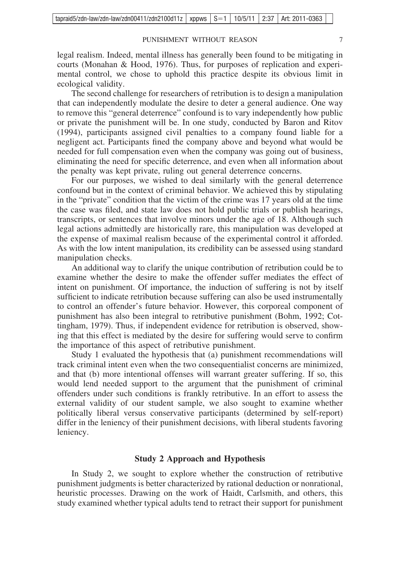legal realism. Indeed, mental illness has generally been found to be mitigating in courts (Monahan & Hood, 1976). Thus, for purposes of replication and experimental control, we chose to uphold this practice despite its obvious limit in ecological validity.

The second challenge for researchers of retribution is to design a manipulation that can independently modulate the desire to deter a general audience. One way to remove this "general deterrence" confound is to vary independently how public or private the punishment will be. In one study, conducted by Baron and Ritov (1994), participants assigned civil penalties to a company found liable for a negligent act. Participants fined the company above and beyond what would be needed for full compensation even when the company was going out of business, eliminating the need for specific deterrence, and even when all information about the penalty was kept private, ruling out general deterrence concerns.

For our purposes, we wished to deal similarly with the general deterrence confound but in the context of criminal behavior. We achieved this by stipulating in the "private" condition that the victim of the crime was 17 years old at the time the case was filed, and state law does not hold public trials or publish hearings, transcripts, or sentences that involve minors under the age of 18. Although such legal actions admittedly are historically rare, this manipulation was developed at the expense of maximal realism because of the experimental control it afforded. As with the low intent manipulation, its credibility can be assessed using standard manipulation checks.

An additional way to clarify the unique contribution of retribution could be to examine whether the desire to make the offender suffer mediates the effect of intent on punishment. Of importance, the induction of suffering is not by itself sufficient to indicate retribution because suffering can also be used instrumentally to control an offender's future behavior. However, this corporeal component of punishment has also been integral to retributive punishment (Bohm, 1992; Cottingham, 1979). Thus, if independent evidence for retribution is observed, showing that this effect is mediated by the desire for suffering would serve to confirm the importance of this aspect of retributive punishment.

Study 1 evaluated the hypothesis that (a) punishment recommendations will track criminal intent even when the two consequentialist concerns are minimized, and that (b) more intentional offenses will warrant greater suffering. If so, this would lend needed support to the argument that the punishment of criminal offenders under such conditions is frankly retributive. In an effort to assess the external validity of our student sample, we also sought to examine whether politically liberal versus conservative participants (determined by self-report) differ in the leniency of their punishment decisions, with liberal students favoring leniency.

# **Study 2 Approach and Hypothesis**

In Study 2, we sought to explore whether the construction of retributive punishment judgments is better characterized by rational deduction or nonrational, heuristic processes. Drawing on the work of Haidt, Carlsmith, and others, this study examined whether typical adults tend to retract their support for punishment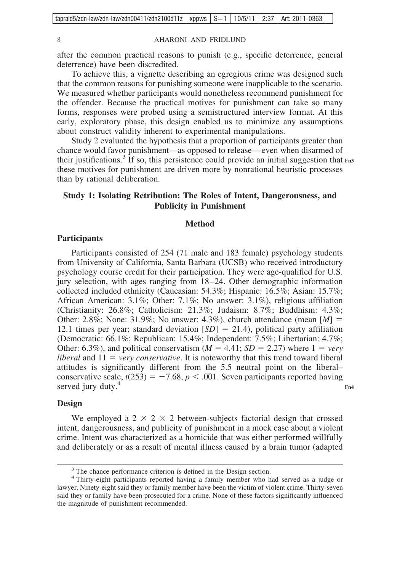after the common practical reasons to punish (e.g., specific deterrence, general deterrence) have been discredited.

To achieve this, a vignette describing an egregious crime was designed such that the common reasons for punishing someone were inapplicable to the scenario. We measured whether participants would nonetheless recommend punishment for the offender. Because the practical motives for punishment can take so many forms, responses were probed using a semistructured interview format. At this early, exploratory phase, this design enabled us to minimize any assumptions about construct validity inherent to experimental manipulations.

Study 2 evaluated the hypothesis that a proportion of participants greater than chance would favor punishment—as opposed to release— even when disarmed of their justifications.<sup>3</sup> If so, this persistence could provide an initial suggestion that  $F_n$ 3 these motives for punishment are driven more by nonrational heuristic processes than by rational deliberation.

# **Study 1: Isolating Retribution: The Roles of Intent, Dangerousness, and Publicity in Punishment**

# **Method**

## **Participants**

Participants consisted of 254 (71 male and 183 female) psychology students from University of California, Santa Barbara (UCSB) who received introductory psychology course credit for their participation. They were age-qualified for U.S. jury selection, with ages ranging from 18 –24. Other demographic information collected included ethnicity (Caucasian: 54.3%; Hispanic: 16.5%; Asian: 15.7%; African American: 3.1%; Other: 7.1%; No answer: 3.1%), religious affiliation (Christianity: 26.8%; Catholicism: 21.3%; Judaism: 8.7%; Buddhism: 4.3%; Other: 2.8%; None: 31.9%; No answer: 4.3%), church attendance (mean [*M*] 12.1 times per year; standard deviation  $[SD] = 21.4$ ), political party affiliation (Democratic: 66.1%; Republican: 15.4%; Independent: 7.5%; Libertarian: 4.7%; Other: 6.3%), and political conservatism  $(M = 4.41; SD = 2.27)$  where  $1 = very$ *liberal* and  $11 = \text{very conservative}$ . It is noteworthy that this trend toward liberal attitudes is significantly different from the 5.5 neutral point on the liberal– conservative scale,  $t(253) = -7.68$ ,  $p < .001$ . Seven participants reported having served jury duty.<sup>4</sup>

# **Design**

We employed a  $2 \times 2 \times 2$  between-subjects factorial design that crossed intent, dangerousness, and publicity of punishment in a mock case about a violent crime. Intent was characterized as a homicide that was either performed willfully and deliberately or as a result of mental illness caused by a brain tumor (adapted

**Fn4**

<sup>&</sup>lt;sup>3</sup> The chance performance criterion is defined in the Design section.

<sup>4</sup> Thirty-eight participants reported having a family member who had served as a judge or lawyer. Ninety-eight said they or family member have been the victim of violent crime. Thirty-seven said they or family have been prosecuted for a crime. None of these factors significantly influenced the magnitude of punishment recommended.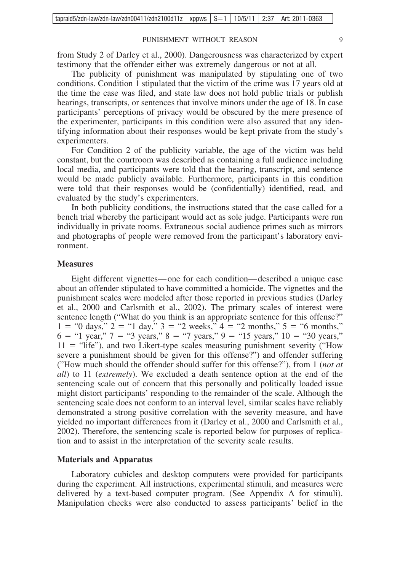from Study 2 of Darley et al., 2000). Dangerousness was characterized by expert testimony that the offender either was extremely dangerous or not at all.

The publicity of punishment was manipulated by stipulating one of two conditions. Condition 1 stipulated that the victim of the crime was 17 years old at the time the case was filed, and state law does not hold public trials or publish hearings, transcripts, or sentences that involve minors under the age of 18. In case participants' perceptions of privacy would be obscured by the mere presence of the experimenter, participants in this condition were also assured that any identifying information about their responses would be kept private from the study's experimenters.

For Condition 2 of the publicity variable, the age of the victim was held constant, but the courtroom was described as containing a full audience including local media, and participants were told that the hearing, transcript, and sentence would be made publicly available. Furthermore, participants in this condition were told that their responses would be (confidentially) identified, read, and evaluated by the study's experimenters.

In both publicity conditions, the instructions stated that the case called for a bench trial whereby the participant would act as sole judge. Participants were run individually in private rooms. Extraneous social audience primes such as mirrors and photographs of people were removed from the participant's laboratory environment.

#### **Measures**

Eight different vignettes— one for each condition— described a unique case about an offender stipulated to have committed a homicide. The vignettes and the punishment scales were modeled after those reported in previous studies (Darley et al., 2000 and Carlsmith et al., 2002). The primary scales of interest were sentence length ("What do you think is an appropriate sentence for this offense?"  $1 = "0 days," 2 = "1 day," 3 = "2 weeks," 4 = "2 months," 5 = "6 months,"$ 6 = "1 year," 7 = "3 years," 8 = "7 years," 9 = "15 years," 10 = "30 years,"  $11 =$  "life"), and two Likert-type scales measuring punishment severity ("How severe a punishment should be given for this offense?") and offender suffering ("How much should the offender should suffer for this offense?"), from 1 (*not at all*) to 11 (*extremely*). We excluded a death sentence option at the end of the sentencing scale out of concern that this personally and politically loaded issue might distort participants' responding to the remainder of the scale. Although the sentencing scale does not conform to an interval level, similar scales have reliably demonstrated a strong positive correlation with the severity measure, and have yielded no important differences from it (Darley et al., 2000 and Carlsmith et al., 2002). Therefore, the sentencing scale is reported below for purposes of replication and to assist in the interpretation of the severity scale results.

# **Materials and Apparatus**

Laboratory cubicles and desktop computers were provided for participants during the experiment. All instructions, experimental stimuli, and measures were delivered by a text-based computer program. (See Appendix A for stimuli). Manipulation checks were also conducted to assess participants' belief in the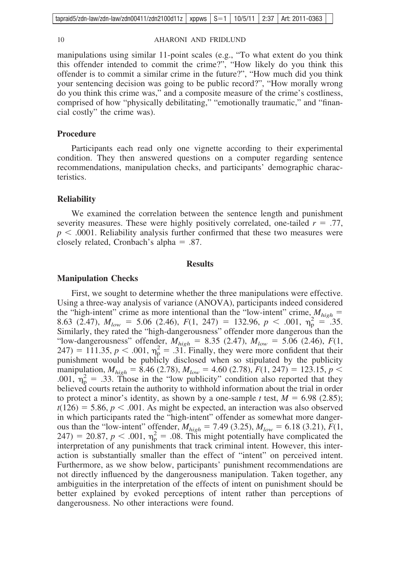manipulations using similar 11-point scales (e.g., "To what extent do you think this offender intended to commit the crime?", "How likely do you think this offender is to commit a similar crime in the future?", "How much did you think your sentencing decision was going to be public record?", "How morally wrong do you think this crime was," and a composite measure of the crime's costliness, comprised of how "physically debilitating," "emotionally traumatic," and "financial costly" the crime was).

# **Procedure**

Participants each read only one vignette according to their experimental condition. They then answered questions on a computer regarding sentence recommendations, manipulation checks, and participants' demographic characteristics.

## **Reliability**

We examined the correlation between the sentence length and punishment severity measures. These were highly positively correlated, one-tailed  $r = .77$ ,  $p < .0001$ . Reliability analysis further confirmed that these two measures were closely related, Cronbach's alpha  $= .87$ .

#### **Results**

#### **Manipulation Checks**

First, we sought to determine whether the three manipulations were effective. Using a three-way analysis of variance (ANOVA), participants indeed considered the "high-intent" crime as more intentional than the "low-intent" crime,  $M_{high}$  = 8.63 (2.47),  $M_{low} = 5.06$  (2.46),  $F(1, 247) = 132.96$ ,  $p < .001$ ,  $\eta_p^2 = .35$ . Similarly, they rated the "high-dangerousness" offender more dangerous than the "low-dangerousness" offender,  $M_{high} = 8.35$  (2.47),  $M_{low} = 5.06$  (2.46),  $F(1,$  $247$ ) = 111.35, *p* < .001,  $\eta_p^2$  = .31. Finally, they were more confident that their punishment would be publicly disclosed when so stipulated by the publicity manipulation,  $M_{high} = 8.46$  (2.78),  $M_{low} = 4.60$  (2.78),  $F(1, 247) = 123.15$ ,  $p <$ .001,  $\eta_p^2 = .33$ . Those in the "low publicity" condition also reported that they believed courts retain the authority to withhold information about the trial in order to protect a minor's identity, as shown by a one-sample *t* test,  $M = 6.98$  (2.85);  $t(126) = 5.86$ ,  $p < .001$ . As might be expected, an interaction was also observed in which participants rated the "high-intent" offender as somewhat more dangerous than the "low-intent" offender,  $M_{high} = 7.49 (3.25), M_{low} = 6.18 (3.21), F(1,$ 247) = 20.87,  $p < .001$ ,  $\eta_p^2 = .08$ . This might potentially have complicated the interpretation of any punishments that track criminal intent. However, this interaction is substantially smaller than the effect of "intent" on perceived intent. Furthermore, as we show below, participants' punishment recommendations are not directly influenced by the dangerousness manipulation. Taken together, any ambiguities in the interpretation of the effects of intent on punishment should be better explained by evoked perceptions of intent rather than perceptions of dangerousness. No other interactions were found.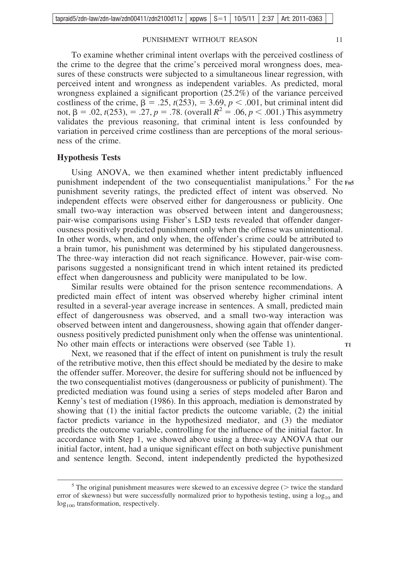To examine whether criminal intent overlaps with the perceived costliness of the crime to the degree that the crime's perceived moral wrongness does, measures of these constructs were subjected to a simultaneous linear regression, with perceived intent and wrongness as independent variables. As predicted, moral wrongness explained a significant proportion (25.2%) of the variance perceived costliness of the crime,  $\beta = .25$ ,  $t(253)$ ,  $= 3.69$ ,  $p < .001$ , but criminal intent did not,  $\beta = .02$ ,  $t(253)$ , = .27,  $p = .78$ . (overall  $R^2 = .06$ ,  $p < .001$ .) This asymmetry validates the previous reasoning, that criminal intent is less confounded by variation in perceived crime costliness than are perceptions of the moral seriousness of the crime.

## **Hypothesis Tests**

Using ANOVA, we then examined whether intent predictably influenced punishment independent of the two consequentialist manipulations.<sup>5</sup> For the Fn5 punishment severity ratings, the predicted effect of intent was observed. No independent effects were observed either for dangerousness or publicity. One small two-way interaction was observed between intent and dangerousness; pair-wise comparisons using Fisher's LSD tests revealed that offender dangerousness positively predicted punishment only when the offense was unintentional. In other words, when, and only when, the offender's crime could be attributed to a brain tumor, his punishment was determined by his stipulated dangerousness. The three-way interaction did not reach significance. However, pair-wise comparisons suggested a nonsignificant trend in which intent retained its predicted effect when dangerousness and publicity were manipulated to be low.

Similar results were obtained for the prison sentence recommendations. A predicted main effect of intent was observed whereby higher criminal intent resulted in a several-year average increase in sentences. A small, predicted main effect of dangerousness was observed, and a small two-way interaction was observed between intent and dangerousness, showing again that offender dangerousness positively predicted punishment only when the offense was unintentional. No other main effects or interactions were observed (see Table 1). **T1**

Next, we reasoned that if the effect of intent on punishment is truly the result of the retributive motive, then this effect should be mediated by the desire to make the offender suffer. Moreover, the desire for suffering should not be influenced by the two consequentialist motives (dangerousness or publicity of punishment). The predicted mediation was found using a series of steps modeled after Baron and Kenny's test of mediation (1986). In this approach, mediation is demonstrated by showing that (1) the initial factor predicts the outcome variable, (2) the initial factor predicts variance in the hypothesized mediator, and (3) the mediator predicts the outcome variable, controlling for the influence of the initial factor. In accordance with Step 1, we showed above using a three-way ANOVA that our initial factor, intent, had a unique significant effect on both subjective punishment and sentence length. Second, intent independently predicted the hypothesized

 $5$  The original punishment measures were skewed to an excessive degree ( $>$  twice the standard error of skewness) but were successfully normalized prior to hypothesis testing, using a  $\log_{10}$  and  $log<sub>100</sub>$  transformation, respectively.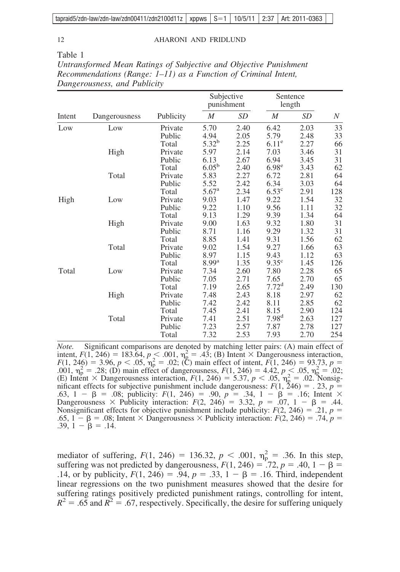Table 1

| Intent | Dangerousness | Publicity | Subjective<br>punishment |      | Sentence<br>length |      |     |
|--------|---------------|-----------|--------------------------|------|--------------------|------|-----|
|        |               |           | $\boldsymbol{M}$         | SD   | $\boldsymbol{M}$   | SD   | N   |
| Low    | Low           | Private   | 5.70                     | 2.40 | 6.42               | 2.03 | 33  |
|        |               | Public    | 4.94                     | 2.05 | 5.79               | 2.48 | 33  |
|        |               | Total     | $5.32^{b}$               | 2.25 | 6.11 <sup>e</sup>  | 2.27 | 66  |
|        | High          | Private   | 5.97                     | 2.14 | 7.03               | 3.46 | 31  |
|        |               | Public    | 6.13                     | 2.67 | 6.94               | 3.45 | 31  |
|        |               | Total     | $6.05^{\rm b}$           | 2.40 | 6.98 <sup>e</sup>  | 3.43 | 62  |
|        | Total         | Private   | 5.83                     | 2.27 | 6.72               | 2.81 | 64  |
|        |               | Public    | 5.52                     | 2.42 | 6.34               | 3.03 | 64  |
|        |               | Total     | 5.67 <sup>a</sup>        | 2.34 | $6.53^{\circ}$     | 2.91 | 128 |
| High   | Low           | Private   | 9.03                     | 1.47 | 9.22               | 1.54 | 32  |
|        |               | Public    | 9.22                     | 1.10 | 9.56               | 1.11 | 32  |
|        |               | Total     | 9.13                     | 1.29 | 9.39               | 1.34 | 64  |
|        | High          | Private   | 9.00                     | 1.63 | 9.32               | 1.80 | 31  |
|        |               | Public    | 8.71                     | 1.16 | 9.29               | 1.32 | 31  |
|        |               | Total     | 8.85                     | 1.41 | 9.31               | 1.56 | 62  |
|        | Total         | Private   | 9.02                     | 1.54 | 9.27               | 1.66 | 63  |
|        |               | Public    | 8.97                     | 1.15 | 9.43               | 1.12 | 63  |
|        |               | Total     | 8.99 <sup>a</sup>        | 1.35 | 9.35 <sup>c</sup>  | 1.45 | 126 |
| Total  | Low           | Private   | 7.34                     | 2.60 | 7.80               | 2.28 | 65  |
|        |               | Public    | 7.05                     | 2.71 | 7.65               | 2.70 | 65  |
|        |               | Total     | 7.19                     | 2.65 | 7.72 <sup>d</sup>  | 2.49 | 130 |
|        | High          | Private   | 7.48                     | 2.43 | 8.18               | 2.97 | 62  |
|        |               | Public    | 7.42                     | 2.42 | 8.11               | 2.85 | 62  |
|        |               | Total     | 7.45                     | 2.41 | 8.15               | 2.90 | 124 |
|        | Total         | Private   | 7.41                     | 2.51 | 7.98 <sup>d</sup>  | 2.63 | 127 |
|        |               | Public    | 7.23                     | 2.57 | 7.87               | 2.78 | 127 |
|        |               | Total     | 7.32                     | 2.53 | 7.93               | 2.70 | 254 |

*Untransformed Mean Ratings of Subjective and Objective Punishment Recommendations (Range: 1–11) as a Function of Criminal Intent, Dangerousness, and Publicity*

*Note.* Significant comparisons are denoted by matching letter pairs: (A) main effect of intent,  $F(1, 246) = 183.64$ ,  $p < .001$ ,  $\eta_p^2 = .43$ ; (B) Intent  $\times$  Dangerousness interaction,  $F(1, 246) = 3.96, p < .05, \eta_{\rm p}^2 = .02$ ; (C) main effect of intent,  $F(1, 246) = 93.73, p =$ .001,  $\eta_p^2 = .28$ ; (D) main effect of dangerousness,  $F(1, 246) = 4.42$ ,  $p < .05$ ,  $\eta_p^2 = .02$ ; (E) Intent  $\times$  Dangerousness interaction,  $F(1, 246) = 5.37, p < .05, \eta_{p}^{2} = .02$ . Nonsignificant effects for subjective punishment include dangerousness:  $F(1, 246) = .23$ ,  $p =$ .63, 1 -  $\beta$  = .08; publicity: *F*(1, 246) = .90, *p* = .34, 1 -  $\beta$  = .16; Intent  $\times$ Dangerousness  $\times$  Publicity interaction:  $F(2, 246) = 3.32$ ,  $p = .07$ ,  $1 - \beta = .44$ . Nonsignificant effects for objective punishment include publicity:  $F(2, 246) = .21$ ,  $p =$ .65, 1 –  $\beta$  = .08; Intent  $\times$  Dangerousness  $\times$  Publicity interaction:  $F(2, 246) = .74$ ,  $p =$ .39,  $1 - \beta = .14$ .

mediator of suffering,  $F(1, 246) = 136.32$ ,  $p < .001$ ,  $\eta_p^2 = .36$ . In this step, suffering was not predicted by dangerousness,  $F(1, 246) = 72$ ,  $p = .40$ ,  $1 - \beta =$ .14, or by publicity,  $F(1, 246) = .94$ ,  $p = .33$ ,  $1 - \beta = .16$ . Third, independent linear regressions on the two punishment measures showed that the desire for suffering ratings positively predicted punishment ratings, controlling for intent,  $R^2$  = .65 and  $R^2$  = .67, respectively. Specifically, the desire for suffering uniquely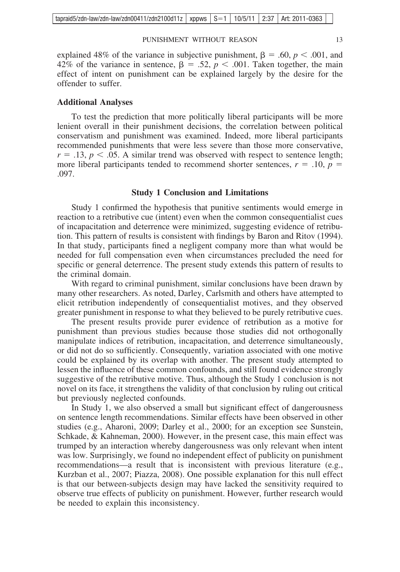explained 48% of the variance in subjective punishment,  $\beta = .60, p < .001$ , and 42% of the variance in sentence,  $\beta = .52$ ,  $p < .001$ . Taken together, the main effect of intent on punishment can be explained largely by the desire for the offender to suffer.

## **Additional Analyses**

To test the prediction that more politically liberal participants will be more lenient overall in their punishment decisions, the correlation between political conservatism and punishment was examined. Indeed, more liberal participants recommended punishments that were less severe than those more conservative,  $r = .13$ ,  $p < .05$ . A similar trend was observed with respect to sentence length; more liberal participants tended to recommend shorter sentences,  $r = .10$ ,  $p =$ .097.

## **Study 1 Conclusion and Limitations**

Study 1 confirmed the hypothesis that punitive sentiments would emerge in reaction to a retributive cue (intent) even when the common consequentialist cues of incapacitation and deterrence were minimized, suggesting evidence of retribution. This pattern of results is consistent with findings by Baron and Ritov (1994). In that study, participants fined a negligent company more than what would be needed for full compensation even when circumstances precluded the need for specific or general deterrence. The present study extends this pattern of results to the criminal domain.

With regard to criminal punishment, similar conclusions have been drawn by many other researchers. As noted, Darley, Carlsmith and others have attempted to elicit retribution independently of consequentialist motives, and they observed greater punishment in response to what they believed to be purely retributive cues.

The present results provide purer evidence of retribution as a motive for punishment than previous studies because those studies did not orthogonally manipulate indices of retribution, incapacitation, and deterrence simultaneously, or did not do so sufficiently. Consequently, variation associated with one motive could be explained by its overlap with another. The present study attempted to lessen the influence of these common confounds, and still found evidence strongly suggestive of the retributive motive. Thus, although the Study 1 conclusion is not novel on its face, it strengthens the validity of that conclusion by ruling out critical but previously neglected confounds.

In Study 1, we also observed a small but significant effect of dangerousness on sentence length recommendations. Similar effects have been observed in other studies (e.g., Aharoni, 2009; Darley et al., 2000; for an exception see Sunstein, Schkade, & Kahneman, 2000). However, in the present case, this main effect was trumped by an interaction whereby dangerousness was only relevant when intent was low. Surprisingly, we found no independent effect of publicity on punishment recommendations—a result that is inconsistent with previous literature (e.g., Kurzban et al., 2007; Piazza, 2008). One possible explanation for this null effect is that our between-subjects design may have lacked the sensitivity required to observe true effects of publicity on punishment. However, further research would be needed to explain this inconsistency.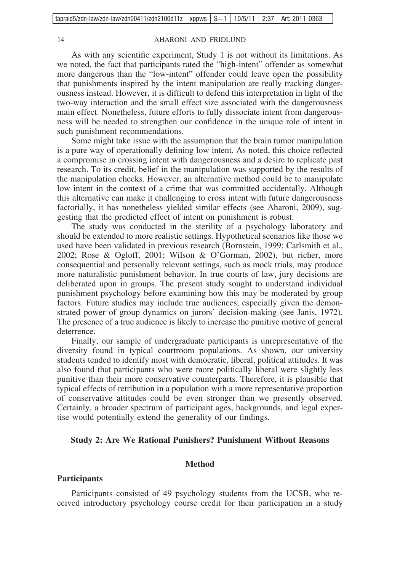As with any scientific experiment, Study 1 is not without its limitations. As we noted, the fact that participants rated the "high-intent" offender as somewhat more dangerous than the "low-intent" offender could leave open the possibility that punishments inspired by the intent manipulation are really tracking dangerousness instead. However, it is difficult to defend this interpretation in light of the two-way interaction and the small effect size associated with the dangerousness main effect. Nonetheless, future efforts to fully dissociate intent from dangerousness will be needed to strengthen our confidence in the unique role of intent in such punishment recommendations.

Some might take issue with the assumption that the brain tumor manipulation is a pure way of operationally defining low intent. As noted, this choice reflected a compromise in crossing intent with dangerousness and a desire to replicate past research. To its credit, belief in the manipulation was supported by the results of the manipulation checks. However, an alternative method could be to manipulate low intent in the context of a crime that was committed accidentally. Although this alternative can make it challenging to cross intent with future dangerousness factorially, it has nonetheless yielded similar effects (see Aharoni, 2009), suggesting that the predicted effect of intent on punishment is robust.

The study was conducted in the sterility of a psychology laboratory and should be extended to more realistic settings. Hypothetical scenarios like those we used have been validated in previous research (Bornstein, 1999; Carlsmith et al., 2002; Rose & Ogloff, 2001; Wilson & O'Gorman, 2002), but richer, more consequential and personally relevant settings, such as mock trials, may produce more naturalistic punishment behavior. In true courts of law, jury decisions are deliberated upon in groups. The present study sought to understand individual punishment psychology before examining how this may be moderated by group factors. Future studies may include true audiences, especially given the demonstrated power of group dynamics on jurors' decision-making (see Janis, 1972). The presence of a true audience is likely to increase the punitive motive of general deterrence.

Finally, our sample of undergraduate participants is unrepresentative of the diversity found in typical courtroom populations. As shown, our university students tended to identify most with democratic, liberal, political attitudes. It was also found that participants who were more politically liberal were slightly less punitive than their more conservative counterparts. Therefore, it is plausible that typical effects of retribution in a population with a more representative proportion of conservative attitudes could be even stronger than we presently observed. Certainly, a broader spectrum of participant ages, backgrounds, and legal expertise would potentially extend the generality of our findings.

## **Study 2: Are We Rational Punishers? Punishment Without Reasons**

# **Method**

## **Participants**

Participants consisted of 49 psychology students from the UCSB, who received introductory psychology course credit for their participation in a study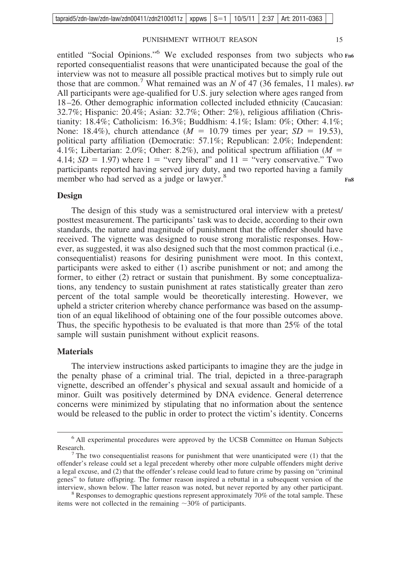entitled "Social Opinions."<sup>6</sup> We excluded responses from two subjects who Fn6 reported consequentialist reasons that were unanticipated because the goal of the interview was not to measure all possible practical motives but to simply rule out those that are common.<sup>7</sup> What remained was an *N* of 47 (36 females, 11 males).  $F_n$ All participants were age-qualified for U.S. jury selection where ages ranged from 18 –26. Other demographic information collected included ethnicity (Caucasian: 32.7%; Hispanic: 20.4%; Asian: 32.7%; Other: 2%), religious affiliation (Christianity: 18.4%; Catholicism: 16.3%; Buddhism: 4.1%; Islam: 0%; Other: 4.1%; None: 18.4%), church attendance ( $M = 10.79$  times per year;  $SD = 19.53$ ), political party affiliation (Democratic: 57.1%; Republican: 2.0%; Independent: 4.1%; Libertarian: 2.0%; Other: 8.2%), and political spectrum affiliation (*M* 4.14;  $SD = 1.97$ ) where  $1 =$  "very liberal" and  $11 =$  "very conservative." Two participants reported having served jury duty, and two reported having a family member who had served as a judge or lawyer.<sup>8</sup> **Fn8**

## **Design**

The design of this study was a semistructured oral interview with a pretest/ posttest measurement. The participants' task was to decide, according to their own standards, the nature and magnitude of punishment that the offender should have received. The vignette was designed to rouse strong moralistic responses. However, as suggested, it was also designed such that the most common practical (i.e., consequentialist) reasons for desiring punishment were moot. In this context, participants were asked to either (1) ascribe punishment or not; and among the former, to either (2) retract or sustain that punishment. By some conceptualizations, any tendency to sustain punishment at rates statistically greater than zero percent of the total sample would be theoretically interesting. However, we upheld a stricter criterion whereby chance performance was based on the assumption of an equal likelihood of obtaining one of the four possible outcomes above. Thus, the specific hypothesis to be evaluated is that more than 25% of the total sample will sustain punishment without explicit reasons.

#### **Materials**

The interview instructions asked participants to imagine they are the judge in the penalty phase of a criminal trial. The trial, depicted in a three-paragraph vignette, described an offender's physical and sexual assault and homicide of a minor. Guilt was positively determined by DNA evidence. General deterrence concerns were minimized by stipulating that no information about the sentence would be released to the public in order to protect the victim's identity. Concerns

<sup>6</sup> All experimental procedures were approved by the UCSB Committee on Human Subjects Research.<br><sup>7</sup> The two consequentialist reasons for punishment that were unanticipated were (1) that the

offender's release could set a legal precedent whereby other more culpable offenders might derive a legal excuse, and (2) that the offender's release could lead to future crime by passing on "criminal genes" to future offspring. The former reason inspired a rebuttal in a subsequent version of the

interview, shown below. The latter reason was noted, but never reported by any other participant. <sup>8</sup> Responses to demographic questions represent approximately 70% of the total sample. These items were not collected in the remaining  $\sim$ 30% of participants.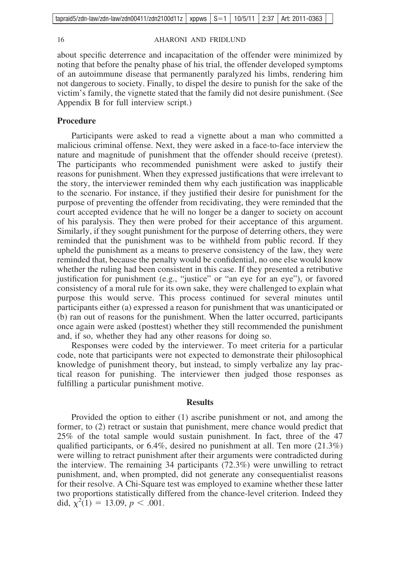about specific deterrence and incapacitation of the offender were minimized by noting that before the penalty phase of his trial, the offender developed symptoms of an autoimmune disease that permanently paralyzed his limbs, rendering him not dangerous to society. Finally, to dispel the desire to punish for the sake of the victim's family, the vignette stated that the family did not desire punishment. (See Appendix B for full interview script.)

# **Procedure**

Participants were asked to read a vignette about a man who committed a malicious criminal offense. Next, they were asked in a face-to-face interview the nature and magnitude of punishment that the offender should receive (pretest). The participants who recommended punishment were asked to justify their reasons for punishment. When they expressed justifications that were irrelevant to the story, the interviewer reminded them why each justification was inapplicable to the scenario. For instance, if they justified their desire for punishment for the purpose of preventing the offender from recidivating, they were reminded that the court accepted evidence that he will no longer be a danger to society on account of his paralysis. They then were probed for their acceptance of this argument. Similarly, if they sought punishment for the purpose of deterring others, they were reminded that the punishment was to be withheld from public record. If they upheld the punishment as a means to preserve consistency of the law, they were reminded that, because the penalty would be confidential, no one else would know whether the ruling had been consistent in this case. If they presented a retributive justification for punishment (e.g., "justice" or "an eye for an eye"), or favored consistency of a moral rule for its own sake, they were challenged to explain what purpose this would serve. This process continued for several minutes until participants either (a) expressed a reason for punishment that was unanticipated or (b) ran out of reasons for the punishment. When the latter occurred, participants once again were asked (posttest) whether they still recommended the punishment and, if so, whether they had any other reasons for doing so.

Responses were coded by the interviewer. To meet criteria for a particular code, note that participants were not expected to demonstrate their philosophical knowledge of punishment theory, but instead, to simply verbalize any lay practical reason for punishing. The interviewer then judged those responses as fulfilling a particular punishment motive.

#### **Results**

Provided the option to either (1) ascribe punishment or not, and among the former, to (2) retract or sustain that punishment, mere chance would predict that 25% of the total sample would sustain punishment. In fact, three of the 47 qualified participants, or 6.4%, desired no punishment at all. Ten more (21.3%) were willing to retract punishment after their arguments were contradicted during the interview. The remaining 34 participants (72.3%) were unwilling to retract punishment, and, when prompted, did not generate any consequentialist reasons for their resolve. A Chi-Square test was employed to examine whether these latter two proportions statistically differed from the chance-level criterion. Indeed they did,  $\chi^2(1) = 13.09, p < .001$ .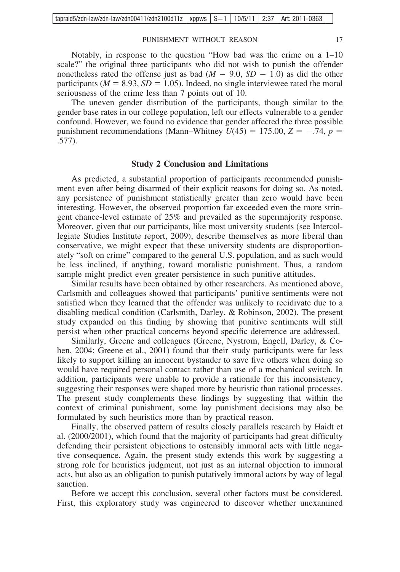Notably, in response to the question "How bad was the crime on a 1–10 scale?" the original three participants who did not wish to punish the offender nonetheless rated the offense just as bad ( $M = 9.0$ ,  $SD = 1.0$ ) as did the other participants ( $M = 8.93$ ,  $SD = 1.05$ ). Indeed, no single interviewee rated the moral seriousness of the crime less than 7 points out of 10.

The uneven gender distribution of the participants, though similar to the gender base rates in our college population, left our effects vulnerable to a gender confound. However, we found no evidence that gender affected the three possible punishment recommendations (Mann–Whitney  $U(45) = 175.00, Z = -.74, p =$ .577).

#### **Study 2 Conclusion and Limitations**

As predicted, a substantial proportion of participants recommended punishment even after being disarmed of their explicit reasons for doing so. As noted, any persistence of punishment statistically greater than zero would have been interesting. However, the observed proportion far exceeded even the more stringent chance-level estimate of 25% and prevailed as the supermajority response. Moreover, given that our participants, like most university students (see Intercollegiate Studies Institute report, 2009), describe themselves as more liberal than conservative, we might expect that these university students are disproportionately "soft on crime" compared to the general U.S. population, and as such would be less inclined, if anything, toward moralistic punishment. Thus, a random sample might predict even greater persistence in such punitive attitudes.

Similar results have been obtained by other researchers. As mentioned above, Carlsmith and colleagues showed that participants' punitive sentiments were not satisfied when they learned that the offender was unlikely to recidivate due to a disabling medical condition (Carlsmith, Darley, & Robinson, 2002). The present study expanded on this finding by showing that punitive sentiments will still persist when other practical concerns beyond specific deterrence are addressed.

Similarly, Greene and colleagues (Greene, Nystrom, Engell, Darley, & Cohen, 2004; Greene et al., 2001) found that their study participants were far less likely to support killing an innocent bystander to save five others when doing so would have required personal contact rather than use of a mechanical switch. In addition, participants were unable to provide a rationale for this inconsistency, suggesting their responses were shaped more by heuristic than rational processes. The present study complements these findings by suggesting that within the context of criminal punishment, some lay punishment decisions may also be formulated by such heuristics more than by practical reason.

Finally, the observed pattern of results closely parallels research by Haidt et al. (2000/2001), which found that the majority of participants had great difficulty defending their persistent objections to ostensibly immoral acts with little negative consequence. Again, the present study extends this work by suggesting a strong role for heuristics judgment, not just as an internal objection to immoral acts, but also as an obligation to punish putatively immoral actors by way of legal sanction.

Before we accept this conclusion, several other factors must be considered. First, this exploratory study was engineered to discover whether unexamined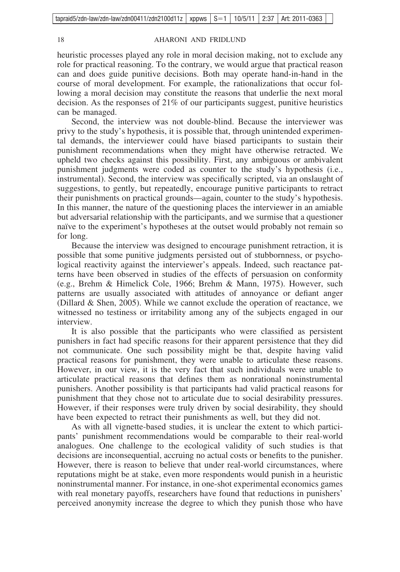heuristic processes played any role in moral decision making, not to exclude any role for practical reasoning. To the contrary, we would argue that practical reason can and does guide punitive decisions. Both may operate hand-in-hand in the course of moral development. For example, the rationalizations that occur following a moral decision may constitute the reasons that underlie the next moral decision. As the responses of 21% of our participants suggest, punitive heuristics can be managed.

Second, the interview was not double-blind. Because the interviewer was privy to the study's hypothesis, it is possible that, through unintended experimental demands, the interviewer could have biased participants to sustain their punishment recommendations when they might have otherwise retracted. We upheld two checks against this possibility. First, any ambiguous or ambivalent punishment judgments were coded as counter to the study's hypothesis (i.e., instrumental). Second, the interview was specifically scripted, via an onslaught of suggestions, to gently, but repeatedly, encourage punitive participants to retract their punishments on practical grounds—again, counter to the study's hypothesis. In this manner, the nature of the questioning places the interviewer in an amiable but adversarial relationship with the participants, and we surmise that a questioner naïve to the experiment's hypotheses at the outset would probably not remain so for long.

Because the interview was designed to encourage punishment retraction, it is possible that some punitive judgments persisted out of stubbornness, or psychological reactivity against the interviewer's appeals. Indeed, such reactance patterns have been observed in studies of the effects of persuasion on conformity (e.g., Brehm & Himelick Cole, 1966; Brehm & Mann, 1975). However, such patterns are usually associated with attitudes of annoyance or defiant anger (Dillard & Shen, 2005). While we cannot exclude the operation of reactance, we witnessed no testiness or irritability among any of the subjects engaged in our interview.

It is also possible that the participants who were classified as persistent punishers in fact had specific reasons for their apparent persistence that they did not communicate. One such possibility might be that, despite having valid practical reasons for punishment, they were unable to articulate these reasons. However, in our view, it is the very fact that such individuals were unable to articulate practical reasons that defines them as nonrational noninstrumental punishers. Another possibility is that participants had valid practical reasons for punishment that they chose not to articulate due to social desirability pressures. However, if their responses were truly driven by social desirability, they should have been expected to retract their punishments as well, but they did not.

As with all vignette-based studies, it is unclear the extent to which participants' punishment recommendations would be comparable to their real-world analogues. One challenge to the ecological validity of such studies is that decisions are inconsequential, accruing no actual costs or benefits to the punisher. However, there is reason to believe that under real-world circumstances, where reputations might be at stake, even more respondents would punish in a heuristic noninstrumental manner. For instance, in one-shot experimental economics games with real monetary payoffs, researchers have found that reductions in punishers' perceived anonymity increase the degree to which they punish those who have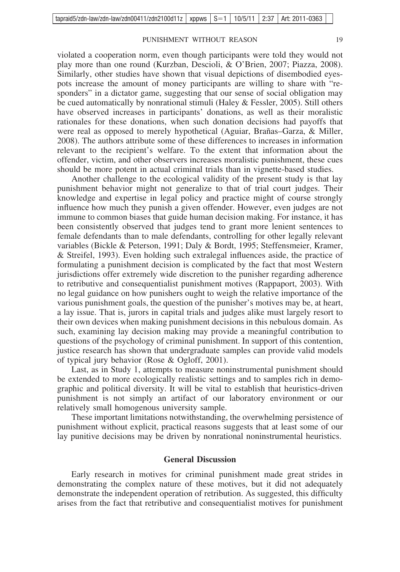violated a cooperation norm, even though participants were told they would not play more than one round (Kurzban, Descioli, & O'Brien, 2007; Piazza, 2008). Similarly, other studies have shown that visual depictions of disembodied eyespots increase the amount of money participants are willing to share with "responders" in a dictator game, suggesting that our sense of social obligation may be cued automatically by nonrational stimuli (Haley  $&$  Fessler, 2005). Still others have observed increases in participants' donations, as well as their moralistic rationales for these donations, when such donation decisions had payoffs that were real as opposed to merely hypothetical (Aguiar, Brañas–Garza, & Miller, 2008). The authors attribute some of these differences to increases in information relevant to the recipient's welfare. To the extent that information about the offender, victim, and other observers increases moralistic punishment, these cues should be more potent in actual criminal trials than in vignette-based studies.

Another challenge to the ecological validity of the present study is that lay punishment behavior might not generalize to that of trial court judges. Their knowledge and expertise in legal policy and practice might of course strongly influence how much they punish a given offender. However, even judges are not immune to common biases that guide human decision making. For instance, it has been consistently observed that judges tend to grant more lenient sentences to female defendants than to male defendants, controlling for other legally relevant variables (Bickle & Peterson, 1991; Daly & Bordt, 1995; Steffensmeier, Kramer, & Streifel, 1993). Even holding such extralegal influences aside, the practice of formulating a punishment decision is complicated by the fact that most Western jurisdictions offer extremely wide discretion to the punisher regarding adherence to retributive and consequentialist punishment motives (Rappaport, 2003). With no legal guidance on how punishers ought to weigh the relative importance of the various punishment goals, the question of the punisher's motives may be, at heart, a lay issue. That is, jurors in capital trials and judges alike must largely resort to their own devices when making punishment decisions in this nebulous domain. As such, examining lay decision making may provide a meaningful contribution to questions of the psychology of criminal punishment. In support of this contention, justice research has shown that undergraduate samples can provide valid models of typical jury behavior (Rose & Ogloff, 2001).

Last, as in Study 1, attempts to measure noninstrumental punishment should be extended to more ecologically realistic settings and to samples rich in demographic and political diversity. It will be vital to establish that heuristics-driven punishment is not simply an artifact of our laboratory environment or our relatively small homogenous university sample.

These important limitations notwithstanding, the overwhelming persistence of punishment without explicit, practical reasons suggests that at least some of our lay punitive decisions may be driven by nonrational noninstrumental heuristics.

#### **General Discussion**

Early research in motives for criminal punishment made great strides in demonstrating the complex nature of these motives, but it did not adequately demonstrate the independent operation of retribution. As suggested, this difficulty arises from the fact that retributive and consequentialist motives for punishment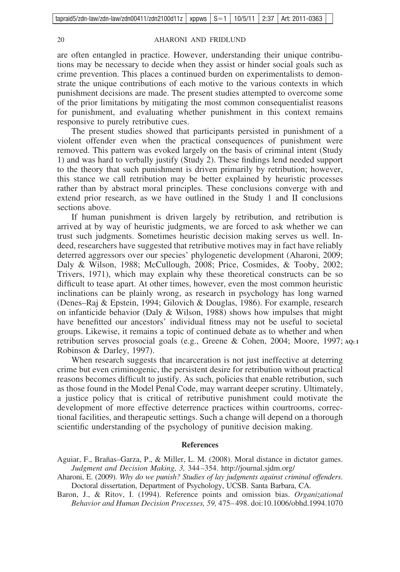are often entangled in practice. However, understanding their unique contributions may be necessary to decide when they assist or hinder social goals such as crime prevention. This places a continued burden on experimentalists to demonstrate the unique contributions of each motive to the various contexts in which punishment decisions are made. The present studies attempted to overcome some of the prior limitations by mitigating the most common consequentialist reasons for punishment, and evaluating whether punishment in this context remains responsive to purely retributive cues.

The present studies showed that participants persisted in punishment of a violent offender even when the practical consequences of punishment were removed. This pattern was evoked largely on the basis of criminal intent (Study 1) and was hard to verbally justify (Study 2). These findings lend needed support to the theory that such punishment is driven primarily by retribution; however, this stance we call retribution may be better explained by heuristic processes rather than by abstract moral principles. These conclusions converge with and extend prior research, as we have outlined in the Study 1 and II conclusions sections above.

If human punishment is driven largely by retribution, and retribution is arrived at by way of heuristic judgments, we are forced to ask whether we can trust such judgments. Sometimes heuristic decision making serves us well. Indeed, researchers have suggested that retributive motives may in fact have reliably deterred aggressors over our species' phylogenetic development (Aharoni, 2009; Daly & Wilson, 1988; McCullough, 2008; Price, Cosmides, & Tooby, 2002; Trivers, 1971), which may explain why these theoretical constructs can be so difficult to tease apart. At other times, however, even the most common heuristic inclinations can be plainly wrong, as research in psychology has long warned (Denes–Raj & Epstein, 1994; Gilovich & Douglas, 1986). For example, research on infanticide behavior (Daly & Wilson, 1988) shows how impulses that might have benefitted our ancestors' individual fitness may not be useful to societal groups. Likewise, it remains a topic of continued debate as to whether and when retribution serves prosocial goals (e.g., Greene & Cohen, 2004; Moore, 1997; **AQ: 1**Robinson & Darley, 1997).

When research suggests that incarceration is not just ineffective at deterring crime but even criminogenic, the persistent desire for retribution without practical reasons becomes difficult to justify. As such, policies that enable retribution, such as those found in the Model Penal Code, may warrant deeper scrutiny. Ultimately, a justice policy that is critical of retributive punishment could motivate the development of more effective deterrence practices within courtrooms, correctional facilities, and therapeutic settings. Such a change will depend on a thorough scientific understanding of the psychology of punitive decision making.

#### **References**

Aguiar, F., Brañas–Garza, P., & Miller, L. M. (2008). Moral distance in dictator games. *Judgment and Decision Making, 3,* 344 –354. http://journal.sjdm.org/

Aharoni, E. (2009). *Why do we punish? Studies of lay judgments against criminal offenders*. Doctoral dissertation, Department of Psychology, UCSB. Santa Barbara, CA.

Baron, J., & Ritov, I. (1994). Reference points and omission bias. *Organizational Behavior and Human Decision Processes, 59,* 475– 498. [doi:10.1006/obhd.1994.1070](http://dx.doi.org/10.1006/obhd.1994.1070)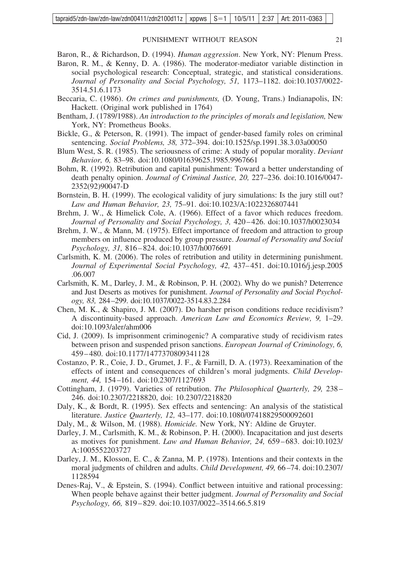Baron, R., & Richardson, D. (1994). *Human aggression*. New York, NY: Plenum Press.

- Baron, R. M., & Kenny, D. A. (1986). The moderator-mediator variable distinction in social psychological research: Conceptual, strategic, and statistical considerations. *Journal of Personality and Social Psychology, 51,* 1173–1182. [doi:10.1037/0022-](http://dx.doi.org/10.1037/0022-3514.51.6.1173) [3514.51.6.1173](http://dx.doi.org/10.1037/0022-3514.51.6.1173)
- Beccaria, C. (1986). *On crimes and punishments,* (D. Young, Trans.) Indianapolis, IN: Hackett. (Original work published in 1764)
- Bentham, J. (1789/1988). *An introduction to the principles of morals and legislation,* New York, NY: Prometheus Books.
- Bickle, G., & Peterson, R. (1991). The impact of gender-based family roles on criminal sentencing. *Social Problems, 38,* 372–394. [doi:10.1525/sp.1991.38.3.03a00050](http://dx.doi.org/10.1525/sp.1991.38.3.03a00050)
- Blum West, S. R. (1985). The seriousness of crime: A study of popular morality. *Deviant Behavior, 6,* 83–98. [doi:10.1080/01639625.1985.9967661](http://dx.doi.org/10.1080/01639625.1985.9967661)
- Bohm, R. (1992). Retribution and capital punishment: Toward a better understanding of death penalty opinion. *Journal of Criminal Justice, 20,* 227–236. [doi:10.1016/0047-](http://dx.doi.org/10.1016/0047-2352%2892%2990047-D) [2352\(92\)90047-D](http://dx.doi.org/10.1016/0047-2352%2892%2990047-D)
- Bornstein, B. H. (1999). The ecological validity of jury simulations: Is the jury still out? *Law and Human Behavior, 23,* 75–91. [doi:10.1023/A:1022326807441](http://dx.doi.org/10.1023/A:1022326807441)
- Brehm, J. W., & Himelick Cole, A. (1966). Effect of a favor which reduces freedom. *Journal of Personality and Social Psychology, 3,* 420 – 426. [doi:10.1037/h0023034](http://dx.doi.org/10.1037/h0023034)
- Brehm, J. W., & Mann, M. (1975). Effect importance of freedom and attraction to group members on influence produced by group pressure. *Journal of Personality and Social Psychology, 31,* 816 – 824. [doi:10.1037/h0076691](http://dx.doi.org/10.1037/h0076691)
- Carlsmith, K. M. (2006). The roles of retribution and utility in determining punishment. *Journal of Experimental Social Psychology, 42,* 437– 451. [doi:10.1016/j.jesp.2005](http://dx.doi.org/10.1016/j.jesp.2005) .06.007
- Carlsmith, K. M., Darley, J. M., & Robinson, P. H. (2002). Why do we punish? Deterrence and Just Deserts as motives for punishment. *Journal of Personality and Social Psychology, 83,* 284 –299. [doi:10.1037/0022-3514.83.2.284](http://dx.doi.org/10.1037/0022-3514.83.2.284)
- Chen, M. K., & Shapiro, J. M. (2007). Do harsher prison conditions reduce recidivism? A discontinuity-based approach. *American Law and Economics Review, 9,* 1–29. [doi:10.1093/aler/ahm006](http://dx.doi.org/10.1093/aler/ahm006)
- Cid, J. (2009). Is imprisonment criminogenic? A comparative study of recidivism rates between prison and suspended prison sanctions. *European Journal of Criminology, 6,* 459 – 480. [doi:10.1177/1477370809341128](http://dx.doi.org/10.1177/1477370809341128)
- Costanzo, P. R., Coie, J. D., Grumet, J. F., & Farnill, D. A. (1973). Reexamination of the effects of intent and consequences of children's moral judgments. *Child Development, 44,* 154 –161. [doi:10.2307/1127693](http://dx.doi.org/10.2307/1127693)
- Cottingham, J. (1979). Varieties of retribution. *The Philosophical Quarterly, 29,* 238 246. [doi:10.2307/2218820,](http://dx.doi.org/10.2307/2218820,) [doi:](http://dx.doi.org/) 10.2307/2218820
- Daly, K., & Bordt, R. (1995). Sex effects and sentencing: An analysis of the statistical literature. *Justice Quarterly, 12,* 43–177. [doi:10.1080/07418829500092601](http://dx.doi.org/10.1080/07418829500092601)
- Daly, M., & Wilson, M. (1988). *Homicide.* New York, NY: Aldine de Gruyter.
- Darley, J. M., Carlsmith, K. M., & Robinson, P. H. (2000). Incapacitation and just deserts as motives for punishment. *Law and Human Behavior, 24,* 659 – 683. [doi:10.1023/](http://dx.doi.org/10.1023/A:1005552203727) [A:1005552203727](http://dx.doi.org/10.1023/A:1005552203727)
- Darley, J. M., Klosson, E. C., & Zanna, M. P. (1978). Intentions and their contexts in the moral judgments of children and adults. *Child Development, 49,* 66 –74. [doi:10.2307/](http://dx.doi.org/10.2307/1128594) [1128594](http://dx.doi.org/10.2307/1128594)
- Denes-Raj, V., & Epstein, S. (1994). Conflict between intuitive and rational processing: When people behave against their better judgment. *Journal of Personality and Social Psychology, 66,* 819 – 829. [doi:10.1037/0022–3514.66.5.819](http://dx.doi.org/10.1037/0022–3514.66.5.819)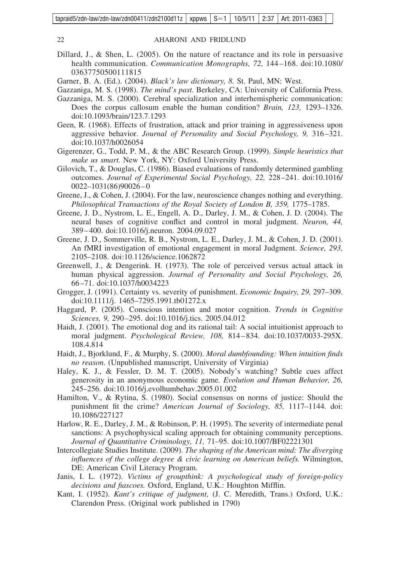- Dillard, J., & Shen, L. (2005). On the nature of reactance and its role in persuasive health communication. *Communication Monographs, 72,* 144 –168. [doi:10.1080/](http://dx.doi.org/10.1080/03637750500111815) [03637750500111815](http://dx.doi.org/10.1080/03637750500111815)
- Garner, B. A. (Ed.). (2004). *Black's law dictionary, 8.* St. Paul, MN: West.

Gazzaniga, M. S. (1998). *The mind's past.* Berkeley, CA: University of California Press.

- Gazzaniga, M. S. (2000). Cerebral specialization and interhemispheric communication: Does the corpus callosum enable the human condition? *Brain, 123,* 1293–1326. [doi:10.1093/brain/123.7.1293](http://dx.doi.org/10.1093/brain/123.7.1293)
- Geen, R. (1968). Effects of frustration, attack and prior training in aggressiveness upon aggressive behavior. *Journal of Personality and Social Psychology, 9,* 316 –321. [doi:10.1037/h0026054](http://dx.doi.org/10.1037/h0026054)
- Gigerenzer, G., Todd, P. M., & the ABC Research Group. (1999). *Simple heuristics that make us smart.* New York, NY: Oxford University Press.
- Gilovich, T., & Douglas, C. (1986). Biased evaluations of randomly determined gambling outcomes. *Journal of Experimental Social Psychology, 22,* 228 –241. [doi:10.1016/](http://dx.doi.org/10.1016/0022–1031%2886%2990026–0) [0022–1031\(86\)90026 – 0](http://dx.doi.org/10.1016/0022–1031%2886%2990026–0)
- Greene, J., & Cohen, J. (2004). For the law, neuroscience changes nothing and everything. *Philosophical Transactions of the Royal Society of London B, 359,* 1775–1785.
- Greene, J. D., Nystrom, L. E., Engell, A. D., Darley, J. M., & Cohen, J. D. (2004). The neural bases of cognitive conflict and control in moral judgment. *Neuron, 44,* 389 – 400. [doi:10.1016/j.neuron.](http://dx.doi.org/10.1016/j.neuron.) 2004.09.027
- Greene, J. D., Sommerville, R. B., Nystrom, L. E., Darley, J. M., & Cohen, J. D. (2001). An fMRI investigation of emotional engagement in moral Judgment. *Science, 293,* 2105–2108. [doi:10.1126/science.1062872](http://dx.doi.org/10.1126/science.1062872)
- Greenwell, J., & Dengerink. H. (1973). The role of perceived versus actual attack in human physical aggression. *Journal of Personality and Social Psychology, 26,* 66 –71. [doi:10.1037/h0034223](http://dx.doi.org/10.1037/h0034223)
- Grogger, J. (1991). Certainty vs. severity of punishment. *Economic Inquiry, 29,* 297–309. [doi:10.1111/j.](http://dx.doi.org/10.1111/j.) 1465–7295.1991.tb01272.x
- Haggard, P. (2005). Conscious intention and motor cognition. *Trends in Cognitive Sciences, 9,* 290 –295. [doi:10.1016/j.tics.](http://dx.doi.org/10.1016/j.tics.) 2005.04.012
- Haidt, J. (2001). The emotional dog and its rational tail: A social intuitionist approach to moral judgment. *Psychological Review, 108,* 814 – 834. [doi:10.1037/0033-295X.](http://dx.doi.org/10.1037/0033-295X.) 108.4.814
- Haidt, J., Bjorklund, F., & Murphy, S. (2000). *Moral dumbfounding: When intuition finds no reason*. (Unpublished manuscript, University of Virginia)
- Haley, K. J., & Fessler, D. M. T. (2005). Nobody's watching? Subtle cues affect generosity in an anonymous economic game. *Evolution and Human Behavior, 26,* 245–256. [doi:10.1016/j.evolhumbehav.2005.01.002](http://dx.doi.org/10.1016/j.evolhumbehav.2005.01.002)
- Hamilton, V., & Rytina, S. (1980). Social consensus on norms of justice: Should the punishment fit the crime? *American Journal of Sociology, 85,* 1117–1144. [doi:](http://dx.doi.org/10.1086/227127) [10.1086/227127](http://dx.doi.org/10.1086/227127)
- Harlow, R. E., Darley, J. M., & Robinson, P. H. (1995). The severity of intermediate penal sanctions: A psychophysical scaling approach for obtaining community perceptions. *Journal of Quantitative Criminology, 11,* 71–95. [doi:10.1007/BF02221301](http://dx.doi.org/10.1007/BF02221301)
- Intercollegiate Studies Institute. (2009). *The shaping of the American mind: The diverging influences of the college degree & civic learning on American beliefs.* Wilmington, DE: American Civil Literacy Program.
- Janis, I. L. (1972). *Victims of groupthink: A psychological study of foreign-policy decisions and fiascoes.* Oxford, England, U.K.: Houghton Mifflin.
- Kant, I. (1952). *Kant's critique of judgment,* (J. C. Meredith, Trans.) Oxford, U.K.: Clarendon Press. (Original work published in 1790)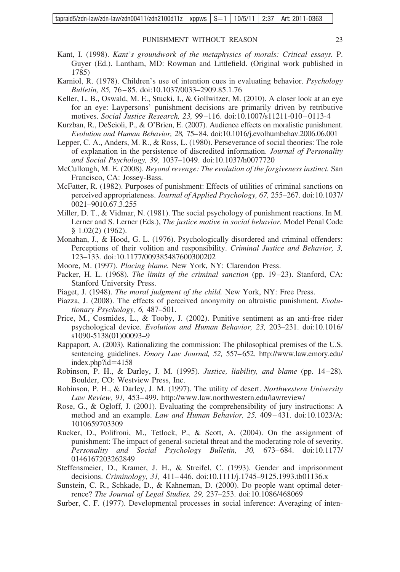- Kant, I. (1998). *Kant's groundwork of the metaphysics of morals: Critical essays.* P. Guyer (Ed.). Lantham, MD: Rowman and Littlefield. (Original work published in 1785)
- Karniol, R. (1978). Children's use of intention cues in evaluating behavior. *Psychology Bulletin, 85,* 76 – 85. [doi:10.1037/0033–2909.85.1.76](http://dx.doi.org/10.1037/0033–2909.85.1.76)
- Keller, L. B., Oswald, M. E., Stucki, I., & Gollwitzer, M. (2010). A closer look at an eye for an eye: Laypersons' punishment decisions are primarily driven by retributive motives. *Social Justice Research, 23,* 99 –116. [doi:10.1007/s11211-010 – 0113-4](http://dx.doi.org/10.1007/s11211-010–0113-4)
- Kurzban, R., DeScioli, P., & O'Brien, E. (2007). Audience effects on moralistic punishment. *Evolution and Human Behavior, 28,* 75– 84. [doi:10.1016/j.evolhumbehav.2006.06.001](http://dx.doi.org/10.1016/j.evolhumbehav.2006.06.001)
- Lepper, C. A., Anders, M. R., & Ross, L. (1980). Perseverance of social theories: The role of explanation in the persistence of discredited information. *Journal of Personality and Social Psychology, 39,* 1037–1049. [doi:10.1037/h0077720](http://dx.doi.org/10.1037/h0077720)
- McCullough, M. E. (2008). *Beyond revenge: The evolution of the forgiveness instinct.* San Francisco, CA: Jossey-Bass.
- McFatter, R. (1982). Purposes of punishment: Effects of utilities of criminal sanctions on perceived appropriateness. *Journal of Applied Psychology, 67,* 255–267. [doi:10.1037/](http://dx.doi.org/10.1037/0021–9010.67.3.255) [0021–9010.67.3.255](http://dx.doi.org/10.1037/0021–9010.67.3.255)
- Miller, D. T., & Vidmar, N. (1981). The social psychology of punishment reactions. In M. Lerner and S. Lerner (Eds.), *The justice motive in social behavior.* Model Penal Code § 1.02(2) (1962).
- Monahan, J., & Hood, G. L. (1976). Psychologically disordered and criminal offenders: Perceptions of their volition and responsibility. *Criminal Justice and Behavior, 3,* 123–133. [doi:10.1177/009385487600300202](http://dx.doi.org/10.1177/009385487600300202)
- Moore, M. (1997). *Placing blame.* New York, NY: Clarendon Press.
- Packer, H. L. (1968). *The limits of the criminal sanction* (pp. 19 –23). Stanford, CA: Stanford University Press.
- Piaget, J. (1948). *The moral judgment of the child.* New York, NY: Free Press.
- Piazza, J. (2008). The effects of perceived anonymity on altruistic punishment. *Evolutionary Psychology, 6,* 487–501.
- Price, M., Cosmides, L., & Tooby, J. (2002). Punitive sentiment as an anti-free rider psychological device. *Evolution and Human Behavior, 23,* 203–231. [doi:10.1016/](http://dx.doi.org/10.1016/s1090-5138%2801%2900093–9) [s1090-5138\(01\)00093–9](http://dx.doi.org/10.1016/s1090-5138%2801%2900093–9)
- Rappaport, A. (2003). Rationalizing the commission: The philosophical premises of the U.S. sentencing guidelines. *Emory Law Journal, 52,* 557– 652. http://www.law.emory.edu/  $index.php?id=4158$
- Robinson, P. H., & Darley, J. M. (1995). *Justice, liability, and blame* (pp. 14 –28)*.* Boulder, CO: Westview Press, Inc.
- Robinson, P. H., & Darley, J. M. (1997). The utility of desert. *Northwestern University Law Review, 91,* 453– 499. http://www.law.northwestern.edu/lawreview/
- Rose, G., & Ogloff, J. (2001). Evaluating the comprehensibility of jury instructions: A method and an example. *Law and Human Behavior, 25,* 409 – 431. [doi:10.1023/A:](http://dx.doi.org/10.1023/A:1010659703309) [1010659703309](http://dx.doi.org/10.1023/A:1010659703309)
- Rucker, D., Polifroni, M., Tetlock, P., & Scott, A. (2004). On the assignment of punishment: The impact of general-societal threat and the moderating role of severity. *Personality and Social Psychology Bulletin, 30,* 673– 684. [doi:10.1177/](http://dx.doi.org/10.1177/0146167203262849) [0146167203262849](http://dx.doi.org/10.1177/0146167203262849)
- Steffensmeier, D., Kramer, J. H., & Streifel, C. (1993). Gender and imprisonment decisions. *Criminology, 31,* 411– 446. [doi:10.1111/j.1745–9125.1993.tb01136.x](http://dx.doi.org/10.1111/j.1745–9125.1993.tb01136.x)
- Sunstein, C. R., Schkade, D., & Kahneman, D. (2000). Do people want optimal deterrence? *The Journal of Legal Studies, 29,* 237–253. [doi:10.1086/468069](http://dx.doi.org/10.1086/468069)
- Surber, C. F. (1977). Developmental processes in social inference: Averaging of inten-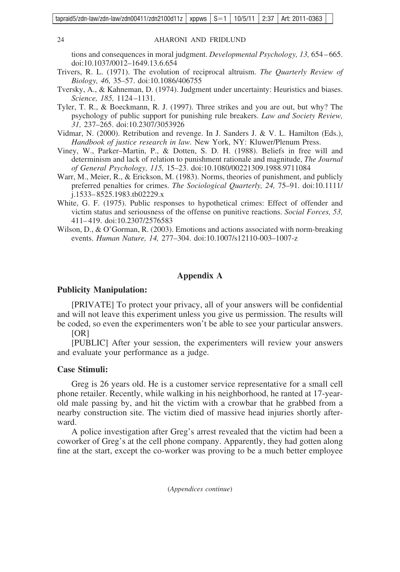tions and consequences in moral judgment. *Developmental Psychology, 13,* 654 – 665. [doi:10.1037/0012–1649.13.6.654](http://dx.doi.org/10.1037/0012–1649.13.6.654)

- Trivers, R. L. (1971). The evolution of reciprocal altruism. *The Quarterly Review of Biology, 46,* 35–57. [doi:10.1086/406755](http://dx.doi.org/10.1086/406755)
- Tversky, A., & Kahneman, D. (1974). Judgment under uncertainty: Heuristics and biases. *Science, 185,* 1124 –1131.
- Tyler, T. R., & Boeckmann, R. J. (1997). Three strikes and you are out, but why? The psychology of public support for punishing rule breakers. *Law and Society Review, 31,* 237–265. [doi:10.2307/3053926](http://dx.doi.org/10.2307/3053926)
- Vidmar, N. (2000). Retribution and revenge. In J. Sanders J. & V. L. Hamilton (Eds.), *Handbook of justice research in law.* New York, NY: Kluwer/Plenum Press.
- Viney, W., Parker–Martin, P., & Dotten, S. D. H. (1988). Beliefs in free will and determinism and lack of relation to punishment rationale and magnitude, *The Journal of General Psychology, 115,* 15–23. [doi:10.1080/00221309.1988.9711084](http://dx.doi.org/10.1080/00221309.1988.9711084)
- Warr, M., Meier, R., & Erickson, M. (1983). Norms, theories of punishment, and publicly preferred penalties for crimes. *The Sociological Quarterly, 24,* 75–91. [doi:10.1111/](http://dx.doi.org/10.1111/j.1533–8525.1983.tb02229.x) [j.1533– 8525.1983.tb02229.x](http://dx.doi.org/10.1111/j.1533–8525.1983.tb02229.x)
- White, G. F. (1975). Public responses to hypothetical crimes: Effect of offender and victim status and seriousness of the offense on punitive reactions. *Social Forces, 53,* 411– 419. [doi:10.2307/2576583](http://dx.doi.org/10.2307/2576583)
- Wilson, D., & O'Gorman, R. (2003). Emotions and actions associated with norm-breaking events. *Human Nature, 14,* 277–304. [doi:10.1007/s12110-003–1007-z](http://dx.doi.org/10.1007/s12110-003–1007-z)

# **Appendix A**

## **Publicity Manipulation:**

[PRIVATE] To protect your privacy, all of your answers will be confidential and will not leave this experiment unless you give us permission. The results will be coded, so even the experimenters won't be able to see your particular answers.

[OR]

[PUBLIC] After your session, the experimenters will review your answers and evaluate your performance as a judge.

## **Case Stimuli:**

Greg is 26 years old. He is a customer service representative for a small cell phone retailer. Recently, while walking in his neighborhood, he ranted at 17-yearold male passing by, and hit the victim with a crowbar that he grabbed from a nearby construction site. The victim died of massive head injuries shortly afterward.

A police investigation after Greg's arrest revealed that the victim had been a coworker of Greg's at the cell phone company. Apparently, they had gotten along fine at the start, except the co-worker was proving to be a much better employee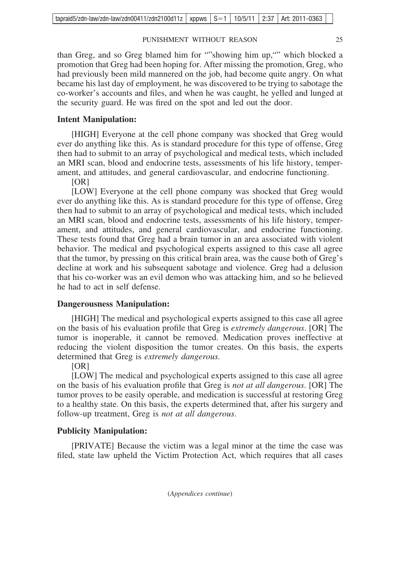than Greg, and so Greg blamed him for ""showing him up,"" which blocked a promotion that Greg had been hoping for. After missing the promotion, Greg, who had previously been mild mannered on the job, had become quite angry. On what became his last day of employment, he was discovered to be trying to sabotage the co-worker's accounts and files, and when he was caught, he yelled and lunged at the security guard. He was fired on the spot and led out the door.

# **Intent Manipulation:**

[HIGH] Everyone at the cell phone company was shocked that Greg would ever do anything like this. As is standard procedure for this type of offense, Greg then had to submit to an array of psychological and medical tests, which included an MRI scan, blood and endocrine tests, assessments of his life history, temperament, and attitudes, and general cardiovascular, and endocrine functioning.

[OR]

[LOW] Everyone at the cell phone company was shocked that Greg would ever do anything like this. As is standard procedure for this type of offense, Greg then had to submit to an array of psychological and medical tests, which included an MRI scan, blood and endocrine tests, assessments of his life history, temperament, and attitudes, and general cardiovascular, and endocrine functioning. These tests found that Greg had a brain tumor in an area associated with violent behavior. The medical and psychological experts assigned to this case all agree that the tumor, by pressing on this critical brain area, was the cause both of Greg's decline at work and his subsequent sabotage and violence. Greg had a delusion that his co-worker was an evil demon who was attacking him, and so he believed he had to act in self defense.

# **Dangerousness Manipulation:**

[HIGH] The medical and psychological experts assigned to this case all agree on the basis of his evaluation profile that Greg is *extremely dangerous*. [OR] The tumor is inoperable, it cannot be removed. Medication proves ineffective at reducing the violent disposition the tumor creates. On this basis, the experts determined that Greg is *extremely dangerous.*

[OR]

[LOW] The medical and psychological experts assigned to this case all agree on the basis of his evaluation profile that Greg is *not at all dangerous*. [OR] The tumor proves to be easily operable, and medication is successful at restoring Greg to a healthy state. On this basis, the experts determined that, after his surgery and follow-up treatment, Greg is *not at all dangerous*.

# **Publicity Manipulation:**

[PRIVATE] Because the victim was a legal minor at the time the case was filed, state law upheld the Victim Protection Act, which requires that all cases

#### (*Appendices continue*)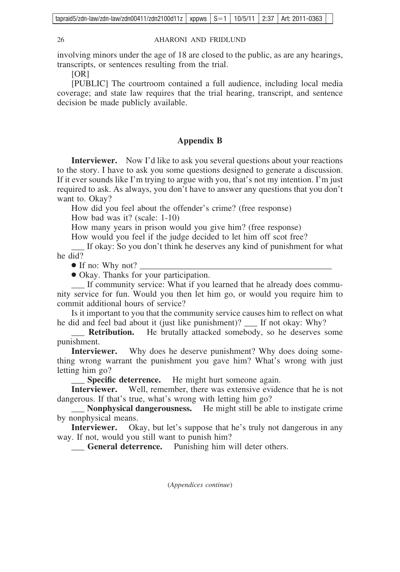involving minors under the age of 18 are closed to the public, as are any hearings, transcripts, or sentences resulting from the trial.

[OR]

[PUBLIC] The courtroom contained a full audience, including local media coverage; and state law requires that the trial hearing, transcript, and sentence decision be made publicly available.

# **Appendix B**

**Interviewer.** Now I'd like to ask you several questions about your reactions to the story. I have to ask you some questions designed to generate a discussion. If it ever sounds like I'm trying to argue with you, that's not my intention. I'm just required to ask. As always, you don't have to answer any questions that you don't want to. Okay?

How did you feel about the offender's crime? (free response)

How bad was it? (scale: 1-10)

How many years in prison would you give him? (free response)

How would you feel if the judge decided to let him off scot free?

\_\_\_ If okay: So you don't think he deserves any kind of punishment for what he did?

• If no: Why not?  $\overline{\phantom{a}}$ 

● Okay. Thanks for your participation.

\_\_\_ If community service: What if you learned that he already does community service for fun. Would you then let him go, or would you require him to commit additional hours of service?

Is it important to you that the community service causes him to reflect on what he did and feel bad about it (just like punishment)? \_\_\_ If not okay: Why?

**Retribution.** He brutally attacked somebody, so he deserves some punishment.

**Interviewer.** Why does he deserve punishment? Why does doing something wrong warrant the punishment you gave him? What's wrong with just letting him go?

**Specific deterrence.** He might hurt someone again.

**Interviewer.** Well, remember, there was extensive evidence that he is not dangerous. If that's true, what's wrong with letting him go?

**Nonphysical dangerousness.** He might still be able to instigate crime by nonphysical means.

**Interviewer.** Okay, but let's suppose that he's truly not dangerous in any way. If not, would you still want to punish him?

**\_\_\_ General deterrence.** Punishing him will deter others.

(*Appendices continue*)